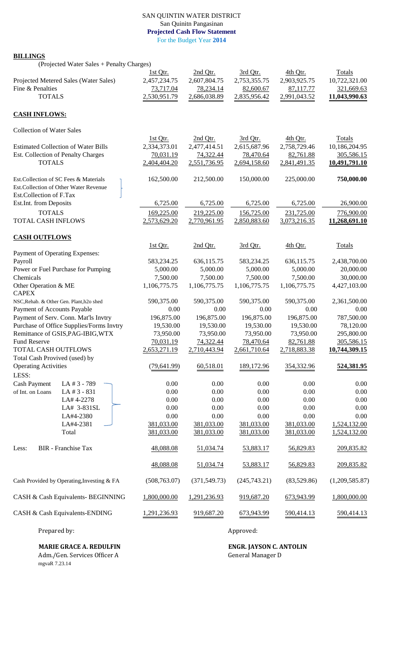## SAN QUINTIN WATER DISTRICT San Quinitn Pangasinan **Projected Cash Flow Statement** For the Budget Year **2014**

## **BILLINGS**

(Projected Water Sales + Penalty Charges)

| Projected Metered Sales (Water Sales)<br>Fine & Penalties | 1st Qtr.<br>2,457,234.75<br>73,717.04 | 2nd Qtr.<br>2,607,804.75<br>78,234.14 | 3rd Otr.<br>2,753,355.75<br>82,600.67 | 4th Otr.<br>2,903,925.75<br>87,117.77 | Totals<br>10,722,321.00<br>321,669.63 |
|-----------------------------------------------------------|---------------------------------------|---------------------------------------|---------------------------------------|---------------------------------------|---------------------------------------|
| <b>TOTALS</b>                                             | 2,530,951.79                          | 2,686,038.89                          | 2,835,956.42                          | 2,991,043.52                          | 11,043,990.63                         |
| <b>CASH INFLOWS:</b>                                      |                                       |                                       |                                       |                                       |                                       |
| <b>Collection of Water Sales</b>                          |                                       |                                       |                                       |                                       |                                       |
|                                                           | 1st Qtr.                              | 2nd Qtr.                              | 3rd Qtr.                              | 4th Qtr.                              | Totals                                |
| <b>Estimated Collection of Water Bills</b>                | 2,334,373.01                          | 2,477,414.51                          | 2,615,687.96                          | 2,758,729.46                          | 10,186,204.95                         |
| Est. Collection of Penalty Charges                        | 70,031.19                             | 74,322.44                             | 78,470.64                             | 82,761.88                             | 305,586.15                            |
| <b>TOTALS</b>                                             | 2,404,404.20                          | 2,551,736.95                          | 2,694,158.60                          | 2,841,491.35                          | 10,491,791.10                         |
| Est. Collection of SC Fees & Materials                    | 162,500.00                            | 212,500.00                            | 150,000.00                            | 225,000.00                            | 750,000.00                            |
| Est.Collection of Other Water Revenue                     |                                       |                                       |                                       |                                       |                                       |
| Est.Collection of F.Tax                                   |                                       |                                       |                                       |                                       |                                       |
| Est.Int. from Deposits                                    | 6,725.00                              | 6,725.00                              | 6,725.00                              | 6,725.00                              | 26,900.00                             |
| <b>TOTALS</b>                                             | 169,225.00                            | 219,225.00                            | 156,725.00                            | 231,725.00                            | 776,900.00                            |
| <b>TOTAL CASH INFLOWS</b>                                 | 2,573,629.20                          | 2,770,961.95                          | 2,850,883.60                          | 3,073,216.35                          | 11,268,691.10                         |
| <b>CASH OUTFLOWS</b>                                      |                                       |                                       |                                       |                                       |                                       |
|                                                           | 1st Otr.                              | 2nd Qtr.                              | 3rd Qtr.                              | 4th Qtr.                              | Totals                                |
| Payment of Operating Expenses:                            |                                       |                                       |                                       |                                       |                                       |
| Payroll                                                   | 583,234.25                            | 636,115.75                            | 583,234.25                            | 636,115.75                            | 2,438,700.00                          |
| Power or Fuel Purchase for Pumping<br>Chemicals           | 5,000.00<br>7,500.00                  | 5,000.00<br>7,500.00                  | 5,000.00<br>7,500.00                  | 5,000.00<br>7,500.00                  | 20,000.00<br>30,000.00                |
| Other Operation & ME                                      | 1,106,775.75                          | 1,106,775.75                          | 1,106,775.75                          | 1,106,775.75                          | 4,427,103.00                          |
| <b>CAPEX</b>                                              |                                       |                                       |                                       |                                       |                                       |
| NSC, Rehab. & Other Gen. Plant, h2o shed                  | 590,375.00                            | 590,375.00                            | 590,375.00                            | 590,375.00                            | 2,361,500.00                          |
| Payment of Accounts Payable                               | 0.00                                  | 0.00                                  | 0.00                                  | 0.00                                  | 0.00                                  |
| Payment of Serv. Conn. Mat'ls Invtry                      | 196,875.00                            | 196,875.00                            | 196,875.00                            | 196,875.00                            | 787,500.00                            |
| Purchase of Office Supplies/Forms Invtry                  | 19,530.00                             | 19,530.00                             | 19,530.00                             | 19,530.00                             | 78,120.00                             |
| Remittance of GSIS, PAG-IBIG, WTX<br><b>Fund Reserve</b>  | 73,950.00                             | 73,950.00                             | 73,950.00                             | 73,950.00                             | 295,800.00                            |
| TOTAL CASH OUTFLOWS                                       | 70,031.19<br>2,653,271.19             | 74,322.44<br>2,710,443.94             | 78,470.64<br>2,661,710.64             | 82,761.88<br>2,718,883.38             | 305,586.15<br>10,744,309.15           |
| Total Cash Provived (used) by                             |                                       |                                       |                                       |                                       |                                       |
| <b>Operating Activities</b>                               | (79, 641.99)                          | 60,518.01                             | 189,172.96                            | 354,332.96                            | 524,381.95                            |
| LESS:                                                     |                                       |                                       |                                       |                                       |                                       |
| <b>Cash Payment</b><br>LA # 3 - 789                       | 0.00                                  | 0.00                                  | 0.00                                  | 0.00                                  | 0.00                                  |
| LA # 3 - 831<br>of Int. on Loans                          | 0.00                                  | 0.00                                  | 0.00                                  | 0.00                                  | 0.00                                  |
| LA# 4-2278                                                | 0.00                                  | 0.00                                  | 0.00                                  | 0.00                                  | 0.00                                  |
| LA# 3-831SL                                               | 0.00                                  | 0.00                                  | 0.00                                  | 0.00                                  | 0.00                                  |
| LA#4-2380                                                 | $0.00\,$                              | 0.00                                  | 0.00                                  | 0.00                                  | 0.00                                  |
| LA#4-2381                                                 | 381,033.00                            | 381,033.00                            | 381,033.00                            | 381,033.00                            | 1,524,132.00                          |
| Total                                                     | 381,033.00                            | 381,033.00                            | 381,033.00                            | 381,033.00                            | 1,524,132.00                          |
| <b>BIR</b> - Franchise Tax<br>Less:                       | 48,088.08                             | 51,034.74                             | 53,883.17                             | 56,829.83                             | 209,835.82                            |
|                                                           | 48,088.08                             | 51,034.74                             | 53,883.17                             | 56,829.83                             | 209,835.82                            |
| Cash Provided by Operating, Investing & FA                | (508, 763.07)                         | (371, 549.73)                         | (245,743.21)                          | (83,529.86)                           | (1,209,585.87)                        |
| CASH & Cash Equivalents- BEGINNING                        | 1,800,000.00                          | 1,291,236.93                          | 919,687.20                            | 673,943.99                            | 1,800,000.00                          |
| CASH & Cash Equivalents-ENDING                            | 1,291,236.93                          | 919,687.20                            | 673,943.99                            | 590,414.13                            | 590,414.13                            |

Prepared by: Approved:

**MARIE GRACE A. REDULFIN ENGR. JAYSON C. ANTOLIN** Adm./Gen. Services Officer A General Manager D

mgvaR 7.23.14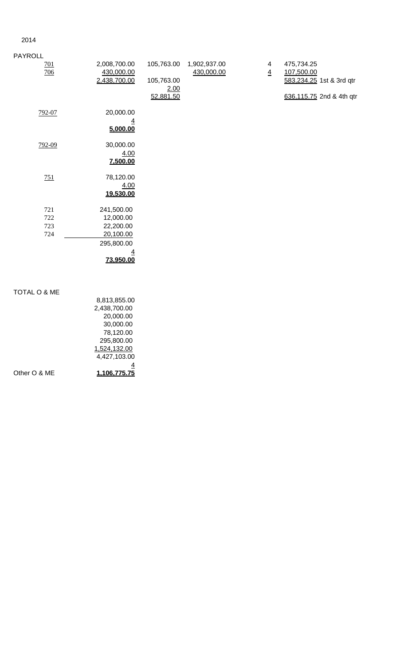## 2014

| <b>PAYROLL</b>          |                                            |                                               |                            |                                           |                                                                                  |
|-------------------------|--------------------------------------------|-----------------------------------------------|----------------------------|-------------------------------------------|----------------------------------------------------------------------------------|
| 701<br>706              | 2,008,700.00<br>430,000.00<br>2,438,700.00 | 105,763.00<br>105,763.00<br>2.00<br>52,881.50 | 1,902,937.00<br>430,000.00 | $\overline{\mathbf{4}}$<br>$\overline{4}$ | 475,734.25<br>107,500.00<br>583,234.25 1st & 3rd qtr<br>636,115.75 2nd & 4th qtr |
| 792-07                  | 20,000.00<br>$\overline{4}$<br>5,000.00    |                                               |                            |                                           |                                                                                  |
| 792-09                  | 30,000.00<br>4.00<br>7,500.00              |                                               |                            |                                           |                                                                                  |
| 751                     | 78,120.00<br>4.00<br>19,530.00             |                                               |                            |                                           |                                                                                  |
| 721                     | 241,500.00                                 |                                               |                            |                                           |                                                                                  |
| 722                     | 12,000.00                                  |                                               |                            |                                           |                                                                                  |
| 723                     | 22,200.00                                  |                                               |                            |                                           |                                                                                  |
| 724                     | 20,100.00                                  |                                               |                            |                                           |                                                                                  |
|                         | 295,800.00                                 |                                               |                            |                                           |                                                                                  |
|                         | $\overline{4}$                             |                                               |                            |                                           |                                                                                  |
|                         | 73,950.00                                  |                                               |                            |                                           |                                                                                  |
| <b>TOTAL O &amp; ME</b> |                                            |                                               |                            |                                           |                                                                                  |
|                         | 8,813,855.00                               |                                               |                            |                                           |                                                                                  |
|                         | 2,438,700.00<br>0000000                    |                                               |                            |                                           |                                                                                  |

| Other O & ME | 1.106.775.75 |
|--------------|--------------|
|              |              |
|              | 4,427,103.00 |
|              | 1,524,132.00 |
|              | 295,800.00   |
|              | 78,120.00    |
|              | 30,000.00    |
|              | 20,000.00    |
|              | 2,438,700.00 |